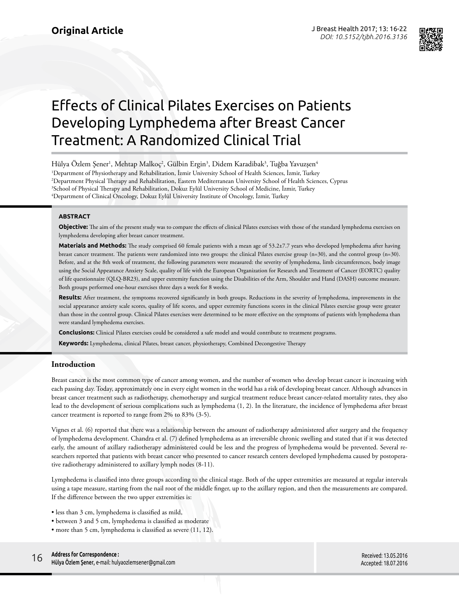

# Effects of Clinical Pilates Exercises on Patients Developing Lymphedema after Breast Cancer Treatment: A Randomized Clinical Trial

Hülya Özlem Şener<sup>ı</sup>, Mehtap Malkoç<sup>2</sup>, Gülbin Ergin<sup>3</sup>, Didem Karadibak<sup>3</sup>, Tuğba Yavuzşen<sup>4</sup> Department of Physiotherapy and Rehabilitation, İzmir University School of Health Sciences, İzmir, Turkey Department Physical Therapy and Rehabilitation, Eastern Mediterranean University School of Health Sciences, Cyprus School of Physical Therapy and Rehabilitation, Dokuz Eylül University School of Medicine, İzmir, Turkey Department of Clinical Oncology, Dokuz Eylül University Institute of Oncology, İzmir, Turkey

# **ABSTRACT**

**Objective:** The aim of the present study was to compare the effects of clinical Pilates exercises with those of the standard lymphedema exercises on lymphedema developing after breast cancer treatment.

**Materials and Methods:** The study comprised 60 female patients with a mean age of 53.2±7.7 years who developed lymphedema after having breast cancer treatment. The patients were randomized into two groups: the clinical Pilates exercise group (n=30), and the control group (n=30). Before, and at the 8th week of treatment, the following parameters were measured: the severity of lymphedema, limb circumferences, body image using the Social Appearance Anxiety Scale, quality of life with the European Organization for Research and Treatment of Cancer (EORTC) quality of life questionnaire (QLQ-BR23), and upper extremity function using the Disabilities of the Arm, Shoulder and Hand (DASH) outcome measure. Both groups performed one-hour exercises three days a week for 8 weeks.

**Results:** After treatment, the symptoms recovered significantly in both groups. Reductions in the severity of lymphedema, improvements in the social appearance anxiety scale scores, quality of life scores, and upper extremity functions scores in the clinical Pilates exercise group were greater than those in the control group. Clinical Pilates exercises were determined to be more effective on the symptoms of patients with lymphedema than were standard lymphedema exercises.

**Conclusions:** Clinical Pilates exercises could be considered a safe model and would contribute to treatment programs.

**Keywords:** Lymphedema, clinical Pilates, breast cancer, physiotherapy, Combined Decongestive Therapy

# **Introduction**

Breast cancer is the most common type of cancer among women, and the number of women who develop breast cancer is increasing with each passing day. Today, approximately one in every eight women in the world has a risk of developing breast cancer. Although advances in breast cancer treatment such as radiotherapy, chemotherapy and surgical treatment reduce breast cancer-related mortality rates, they also lead to the development of serious complications such as lymphedema (1, 2). In the literature, the incidence of lymphedema after breast cancer treatment is reported to range from 2% to 83% (3-5).

Vignes et al. (6) reported that there was a relationship between the amount of radiotherapy administered after surgery and the frequency of lymphedema development. Chandra et al. (7) defined lymphedema as an irreversible chronic swelling and stated that if it was detected early, the amount of axillary radiotherapy administered could be less and the progress of lymphedema would be prevented. Several researchers reported that patients with breast cancer who presented to cancer research centers developed lymphedema caused by postoperative radiotherapy administered to axillary lymph nodes (8-11).

Lymphedema is classified into three groups according to the clinical stage. Both of the upper extremities are measured at regular intervals using a tape measure, starting from the nail root of the middle finger, up to the axillary region, and then the measurements are compared. If the difference between the two upper extremities is:

- less than 3 cm, lymphedema is classified as mild,
- between 3 and 5 cm, lymphedema is classified as moderate
- more than 5 cm, lymphedema is classified as severe (11, 12).
- **Address for Correspondence :**  Hülya Özlem Şener, e-mail: hulyaozlemsener@gmail.com 16

Received: 13.05.2016 Accepted: 18.07.2016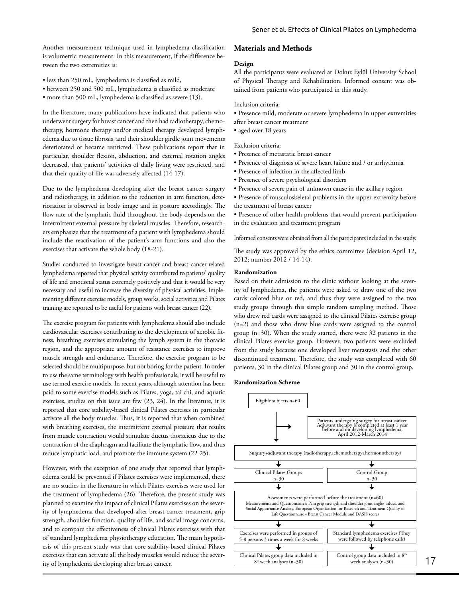Another measurement technique used in lymphedema classification is volumetric measurement. In this measurement, if the difference between the two extremities is:

- less than 250 mL, lymphedema is classified as mild,
- between 250 and 500 mL, lymphedema is classified as moderate
- more than 500 mL, lymphedema is classified as severe (13).

In the literature, many publications have indicated that patients who underwent surgery for breast cancer and then had radiotherapy, chemotherapy, hormone therapy and/or medical therapy developed lymphedema due to tissue fibrosis, and their shoulder girdle joint movements deteriorated or became restricted. These publications report that in particular, shoulder flexion, abduction, and external rotation angles decreased, that patients' activities of daily living were restricted, and that their quality of life was adversely affected (14-17).

Due to the lymphedema developing after the breast cancer surgery and radiotherapy, in addition to the reduction in arm function, deterioration is observed in body image and in posture accordingly. The flow rate of the lymphatic fluid throughout the body depends on the intermittent external pressure by skeletal muscles. Therefore, researchers emphasize that the treatment of a patient with lymphedema should include the reactivation of the patient's arm functions and also the exercises that activate the whole body (18-21).

Studies conducted to investigate breast cancer and breast cancer-related lymphedema reported that physical activity contributed to patients' quality of life and emotional status extremely positively and that it would be very necessary and useful to increase the diversity of physical activities. Implementing different exercise models, group works, social activities and Pilates training are reported to be useful for patients with breast cancer (22).

The exercise program for patients with lymphedema should also include cardiovascular exercises contributing to the development of aerobic fitness, breathing exercises stimulating the lymph system in the thoracic region, and the appropriate amount of resistance exercises to improve muscle strength and endurance. Therefore, the exercise program to be selected should be multipurpose, but not boring for the patient. In order to use the same terminology with health professionals, it will be useful to use termed exercise models. In recent years, although attention has been paid to some exercise models such as Pilates, yoga, tai chi, and aquatic exercises, studies on this issue are few (23, 24). In the literature, it is reported that core stability-based clinical Pilates exercises in particular activate all the body muscles. Thus, it is reported that when combined with breathing exercises, the intermittent external pressure that results from muscle contraction would stimulate ductus thoracicus due to the contraction of the diaphragm and facilitate the lymphatic flow, and thus reduce lymphatic load, and promote the immune system (22-25).

However, with the exception of one study that reported that lymphedema could be prevented if Pilates exercises were implemented, there are no studies in the literature in which Pilates exercises were used for the treatment of lymphedema (26). Therefore, the present study was planned to examine the impact of clinical Pilates exercises on the severity of lymphedema that developed after breast cancer treatment, grip strength, shoulder function, quality of life, and social image concerns, and to compare the effectiveness of clinical Pilates exercises with that of standard lymphedema physiotherapy education. The main hypothesis of this present study was that core stability-based clinical Pilates exercises that can activate all the body muscles would reduce the severity of lymphedema developing after breast cancer.

## **Materials and Methods**

#### **Design**

All the participants were evaluated at Dokuz Eylül University School of Physical Therapy and Rehabilitation. Informed consent was obtained from patients who participated in this study.

#### Inclusion criteria:

• Presence mild, moderate or severe lymphedema in upper extremities after breast cancer treatment

• aged over 18 years

#### Exclusion criteria:

- Presence of metastatic breast cancer
- Presence of diagnosis of severe heart failure and / or arrhythmia
- Presence of infection in the affected limb
- Presence of severe psychological disorders
- Presence of severe pain of unknown cause in the axillary region

• Presence of musculoskeletal problems in the upper extremity before the treatment of breast cancer

• Presence of other health problems that would prevent participation in the evaluation and treatment program

Informed consents were obtained from all the participants included in the study.

The study was approved by the ethics committee (decision April 12, 2012; number 2012 / 14-14).

#### **Randomization**

Based on their admission to the clinic without looking at the severity of lymphedema, the patients were asked to draw one of the two cards colored blue or red, and thus they were assigned to the two study groups through this simple random sampling method. Those who drew red cards were assigned to the clinical Pilates exercise group (n=2) and those who drew blue cards were assigned to the control group (n=30). When the study started, there were 32 patients in the clinical Pilates exercise group. However, two patients were excluded from the study because one developed liver metastasis and the other discontinued treatment. Therefore, the study was completed with 60 patients, 30 in the clinical Pilates group and 30 in the control group.

#### **Randomization Scheme**

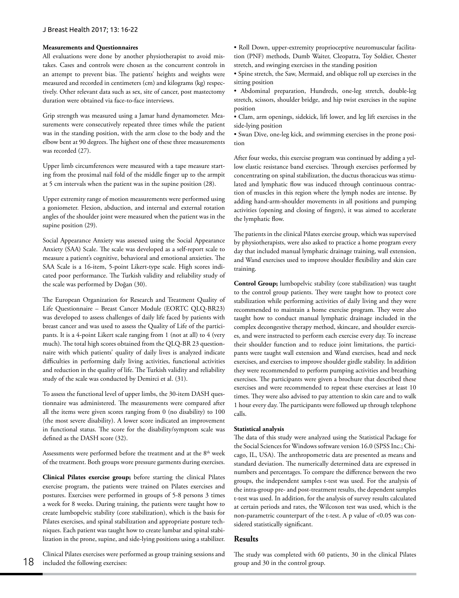#### **Measurements and Questionnaires**

All evaluations were done by another physiotherapist to avoid mistakes. Cases and controls were chosen as the concurrent controls in an attempt to prevent bias. The patients' heights and weights were measured and recorded in centimeters (cm) and kilograms (kg) respectively. Other relevant data such as sex, site of cancer, post mastectomy duration were obtained via face-to-face interviews.

Grip strength was measured using a Jamar hand dynamometer. Measurements were consecutively repeated three times while the patient was in the standing position, with the arm close to the body and the elbow bent at 90 degrees. The highest one of these three measurements was recorded (27).

Upper limb circumferences were measured with a tape measure starting from the proximal nail fold of the middle finger up to the armpit at 5 cm intervals when the patient was in the supine position (28).

Upper extremity range of motion measurements were performed using a goniometer. Flexion, abduction, and internal and external rotation angles of the shoulder joint were measured when the patient was in the supine position (29).

Social Appearance Anxiety was assessed using the Social Appearance Anxiety (SAA) Scale. The scale was developed as a self-report scale to measure a patient's cognitive, behavioral and emotional anxieties. The SAA Scale is a 16-item, 5-point Likert-type scale. High scores indicated poor performance. The Turkish validity and reliability study of the scale was performed by Doğan (30).

The European Organization for Research and Treatment Quality of Life Questionnaire – Breast Cancer Module (EORTC QLQ-BR23) was developed to assess challenges of daily life faced by patients with breast cancer and was used to assess the Quality of Life of the participants. It is a 4-point Likert scale ranging from 1 (not at all) to 4 (very much). The total high scores obtained from the QLQ-BR 23 questionnaire with which patients' quality of daily lives is analyzed indicate difficulties in performing daily living activities, functional activities and reduction in the quality of life. The Turkish validity and reliability study of the scale was conducted by Demirci et al. (31).

To assess the functional level of upper limbs, the 30-item DASH questionnaire was administered. The measurements were compared after all the items were given scores ranging from 0 (no disability) to 100 (the most severe disability). A lower score indicated an improvement in functional status. The score for the disability/symptom scale was defined as the DASH score (32).

Assessments were performed before the treatment and at the 8<sup>th</sup> week of the treatment. Both groups wore pressure garments during exercises.

**Clinical Pilates exercise group;** before starting the clinical Pilates exercise program, the patients were trained on Pilates exercises and postures. Exercises were performed in groups of 5-8 persons 3 times a week for 8 weeks. During training, the patients were taught how to create lumbopelvic stability (core stabilization), which is the basis for Pilates exercises, and spinal stabilization and appropriate posture techniques. Each patient was taught how to create lumbar and spinal stabilization in the prone, supine, and side-lying positions using a stabilizer.

Clinical Pilates exercises were performed as group training sessions and 18 included the following exercises:  $\frac{1}{2}$  group and 30 in the control group.

• Roll Down, upper-extremity proprioceptive neuromuscular facilitation (PNF) methods, Dumb Waiter, Cleopatra, Toy Soldier, Chester stretch, and swinging exercises in the standing position

• Spine stretch, the Saw, Mermaid, and oblique roll up exercises in the sitting position

• Abdominal preparation, Hundreds, one-leg stretch, double-leg stretch, scissors, shoulder bridge, and hip twist exercises in the supine position

• Clam, arm openings, sidekick, lift lower, and leg lift exercises in the side-lying position

• Swan Dive, one-leg kick, and swimming exercises in the prone position

After four weeks, this exercise program was continued by adding a yellow elastic resistance band exercises. Through exercises performed by concentrating on spinal stabilization, the ductus thoracicus was stimulated and lymphatic flow was induced through continuous contraction of muscles in this region where the lymph nodes are intense. By adding hand-arm-shoulder movements in all positions and pumping activities (opening and closing of fingers), it was aimed to accelerate the lymphatic flow.

The patients in the clinical Pilates exercise group, which was supervised by physiotherapists, were also asked to practice a home program every day that included manual lymphatic drainage training, wall extension, and Wand exercises used to improve shoulder flexibility and skin care training.

**Control Group;** lumbopelvic stability (core stabilization) was taught to the control group patients. They were taught how to protect core stabilization while performing activities of daily living and they were recommended to maintain a home exercise program. They were also taught how to conduct manual lymphatic drainage included in the complex decongestive therapy method, skincare, and shoulder exercises, and were instructed to perform each exercise every day. To increase their shoulder function and to reduce joint limitations, the participants were taught wall extension and Wand exercises, head and neck exercises, and exercises to improve shoulder girdle stability. In addition they were recommended to perform pumping activities and breathing exercises. The participants were given a brochure that described these exercises and were recommended to repeat these exercises at least 10 times. They were also advised to pay attention to skin care and to walk 1 hour every day. The participants were followed up through telephone calls.

#### **Statistical analysis**

The data of this study were analyzed using the Statistical Package for the Social Sciences for Windows software version 16.0 (SPSS Inc.; Chicago, IL, USA). The anthropometric data are presented as means and standard deviation. The numerically determined data are expressed in numbers and percentages. To compare the difference between the two groups, the independent samples t-test was used. For the analysis of the intra-group pre- and post-treatment results, the dependent samples t-test was used. In addition, for the analysis of survey results calculated at certain periods and rates, the Wilcoxon test was used, which is the non-parametric counterpart of the t-test. A p value of <0.05 was considered statistically significant.

# **Results**

The study was completed with 60 patients, 30 in the clinical Pilates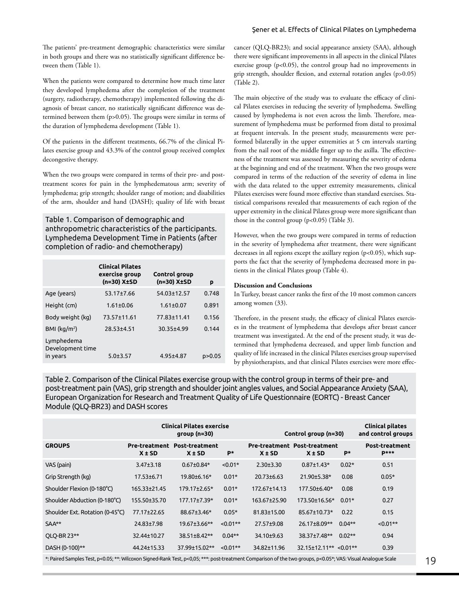The patients' pre-treatment demographic characteristics were similar in both groups and there was no statistically significant difference between them (Table 1).

When the patients were compared to determine how much time later they developed lymphedema after the completion of the treatment (surgery, radiotherapy, chemotherapy) implemented following the diagnosis of breast cancer, no statistically significant difference was determined between them (p>0.05). The groups were similar in terms of the duration of lymphedema development (Table 1).

Of the patients in the different treatments, 66.7% of the clinical Pilates exercise group and 43.3% of the control group received complex decongestive therapy.

When the two groups were compared in terms of their pre- and posttreatment scores for pain in the lymphedematous arm; severity of lymphedema; grip strength; shoulder range of motion; and disabilities of the arm, shoulder and hand (DASH); quality of life with breast

Table 1. Comparison of demographic and anthropometric characteristics of the participants. Lymphedema Development Time in Patients (after completion of radio- and chemotherapy)

|                                            | <b>Clinical Pilates</b><br>exercise group<br>$(n=30)$ X $\pm$ SD | Control group<br>$(n=30)$ X $\pm$ SD | p      |
|--------------------------------------------|------------------------------------------------------------------|--------------------------------------|--------|
| Age (years)                                | $53.17 \pm 7.66$                                                 | 54.03+12.57                          | 0.748  |
| Height (cm)                                | $1.61 + 0.06$                                                    | $1.61 + 0.07$                        | 0.891  |
| Body weight (kg)                           | 73.57+11.61                                                      | 77.83+11.41                          | 0.156  |
| BMI ( $\text{kg/m}^2$ )                    | 28.53±4.51                                                       | $30.35 \pm 4.99$                     | 0.144  |
| Lymphedema<br>Development time<br>in years | $5.0 + 3.57$                                                     | $4.95 \pm 4.87$                      | D>0.05 |

cancer (QLQ-BR23); and social appearance anxiety (SAA), although there were significant improvements in all aspects in the clinical Pilates exercise group  $(p<0.05)$ , the control group had no improvements in grip strength, shoulder flexion, and external rotation angles (p>0.05) (Table 2).

The main objective of the study was to evaluate the efficacy of clinical Pilates exercises in reducing the severity of lymphedema. Swelling caused by lymphedema is not even across the limb. Therefore, measurement of lymphedema must be performed from distal to proximal at frequent intervals. In the present study, measurements were performed bilaterally in the upper extremities at 5 cm intervals starting from the nail root of the middle finger up to the axilla. The effectiveness of the treatment was assessed by measuring the severity of edema at the beginning and end of the treatment. When the two groups were compared in terms of the reduction of the severity of edema in line with the data related to the upper extremity measurements, clinical Pilates exercises were found more effective than standard exercises. Statistical comparisons revealed that measurements of each region of the upper extremity in the clinical Pilates group were more significant than those in the control group  $(p<0.05)$  (Table 3).

However, when the two groups were compared in terms of reduction in the severity of lymphedema after treatment, there were significant decreases in all regions except the axillary region  $(p<0.05)$ , which supports the fact that the severity of lymphedema decreased more in patients in the clinical Pilates group (Table 4).

# **Discussion and Conclusions**

In Turkey, breast cancer ranks the first of the 10 most common cancers among women (33).

Therefore, in the present study, the efficacy of clinical Pilates exercises in the treatment of lymphedema that develops after breast cancer treatment was investigated. At the end of the present study, it was determined that lymphedema decreased, and upper limb function and quality of life increased in the clinical Pilates exercises group supervised by physiotherapists, and that clinical Pilates exercises were more effec-

Table 2. Comparison of the Clinical Pilates exercise group with the control group in terms of their pre- and post-treatment pain (VAS), grip strength and shoulder joint angles values, and Social Appearance Anxiety (SAA), European Organization for Research and Treatment Quality of Life Questionnaire (EORTC) - Breast Cancer Module (QLQ-BR23) and DASH scores

|                                                                                                                                                              |                                    | <b>Clinical Pilates exercise</b><br>$group(n=30)$ |            |                                            | Control group (n=30)         |          | <b>Clinical pilates</b><br>and control groups |
|--------------------------------------------------------------------------------------------------------------------------------------------------------------|------------------------------------|---------------------------------------------------|------------|--------------------------------------------|------------------------------|----------|-----------------------------------------------|
| <b>GROUPS</b>                                                                                                                                                | <b>Pre-treatment</b><br>$X \pm SD$ | Post-treatment<br>$X \pm SD$                      | P*         | Pre-treatment Post-treatment<br>$X \pm SD$ | $X \pm SD$                   | P*       | Post-treatment<br><b>p</b> ***                |
| VAS (pain)                                                                                                                                                   | $3.47 \pm 3.18$                    | $0.67 \pm 0.84*$                                  | $< 0.01*$  | $2.30 \pm 3.30$                            | $0.87 \pm 1.43*$             | $0.02*$  | 0.51                                          |
| Grip Strength (kg)                                                                                                                                           | $17.53 \pm 6.71$                   | $19.80 \pm 6.16*$                                 | $0.01*$    | $20.73 \pm 6.63$                           | 21.90±5.38*                  | 0.08     | $0.05*$                                       |
| Shoulder Flexion (0-180°C)                                                                                                                                   | 165.33±21.45                       | 179.17±2.65*                                      | $0.01*$    | 172.67±14.13                               | 177.50±6.40*                 | 0.08     | 0.19                                          |
| Shoulder Abduction (0-180°C)                                                                                                                                 | 155.50±35.70                       | 177.17±7.39*                                      | $0.01*$    | 163.67±25.90                               | 173.50±16.56*                | $0.01*$  | 0.27                                          |
| Shoulder Ext. Rotation (0-45°C)                                                                                                                              | 77.17±22.65                        | 88.67±3.46*                                       | $0.05*$    | 81.83±15.00                                | 85.67±10.73*                 | 0.22     | 0.15                                          |
| SAA**                                                                                                                                                        | 24.83±7.98                         | 19.67±3.66**                                      | $< 0.01**$ | 27.57±9.08                                 | 26.17±8.09**                 | $0.04**$ | $< 0.01**$                                    |
| OLO-BR 23**                                                                                                                                                  | 32.44±10.27                        | 38.51±8.42**                                      | $0.04**$   | 34.10±9.63                                 | 38.37±7.48**                 | $0.02**$ | 0.94                                          |
| DASH (0-100)**                                                                                                                                               | 44.24±15.33                        | 37.99±15.02**                                     | $< 0.01**$ | 34.82±11.96                                | $32.15 \pm 12.11**$ < 0.01** |          | 0.39                                          |
| *: Paired Samples Test, p<0.05; **: Wilcoxon Signed-Rank Test, p<0,05; ***: post-treatment Comparison of the two groups, p<0.05*; VAS: Visual Analogue Scale |                                    |                                                   |            |                                            |                              |          |                                               |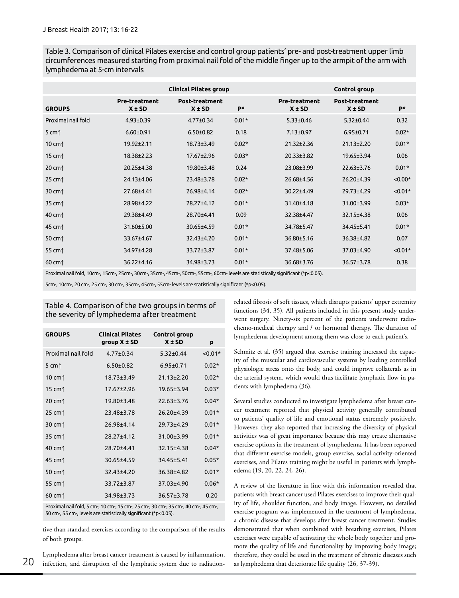Table 3. Comparison of clinical Pilates exercise and control group patients' pre- and post-treatment upper limb circumferences measured starting from proximal nail fold of the middle finger up to the armpit of the arm with lymphedema at 5-cm intervals

|                    | <b>Clinical Pilates group</b> |                                     |         |                                    | Control group                       |           |  |  |
|--------------------|-------------------------------|-------------------------------------|---------|------------------------------------|-------------------------------------|-----------|--|--|
| <b>GROUPS</b>      | Pre-treatment<br>$X \pm SD$   | <b>Post-treatment</b><br>$X \pm SD$ | P*      | <b>Pre-treatment</b><br>$X \pm SD$ | <b>Post-treatment</b><br>$X \pm SD$ | P*        |  |  |
| Proximal nail fold | $4.93 \pm 0.39$               | $4.77 \pm 0.34$                     | $0.01*$ | $5.33 \pm 0.46$                    | $5.32 \pm 0.44$                     | 0.32      |  |  |
| 5 cm $\uparrow$    | $6.60 \pm 0.91$               | $6.50 \pm 0.82$                     | 0.18    | $7.13 \pm 0.97$                    | $6.95 \pm 0.71$                     | $0.02*$   |  |  |
| 10 cm $\uparrow$   | 19.92±2.11                    | $18.73 \pm 3.49$                    | $0.02*$ | $21.32 \pm 2.36$                   | 21.13±2.20                          | $0.01*$   |  |  |
| 15 cm 1            | 18.38±2.23                    | 17.67±2.96                          | $0.03*$ | $20.33 \pm 3.82$                   | $19.65 \pm 3.94$                    | 0.06      |  |  |
| 20 cm 1            | 20.25±4.38                    | 19.80±3.48                          | 0.24    | 23.08±3.99                         | 22.63±3.76                          | $0.01*$   |  |  |
| 25 cm 1            | 24.13±4.06                    | 23.48±3.78                          | $0.02*$ | 26.68±4.56                         | 26.20±4.39                          | $< 0.00*$ |  |  |
| 30 cm 1            | 27.68±4.41                    | 26.98±4.14                          | $0.02*$ | $30.22 + 4.49$                     | 29.73±4.29                          | $< 0.01*$ |  |  |
| 35 cm 1            | 28.98±4.22                    | 28.27±4.12                          | $0.01*$ | 31.40±4.18                         | 31.00±3.99                          | $0.03*$   |  |  |
| 40 cm 1            | 29.38±4.49                    | 28.70±4.41                          | 0.09    | 32.38±4.47                         | 32.15±4.38                          | 0.06      |  |  |
| 45 cm 1            | 31.60±5.00                    | 30.65±4.59                          | $0.01*$ | 34.78±5.47                         | 34.45±5.41                          | $0.01*$   |  |  |
| 50 cm 1            | 33.67±4.67                    | 32.43±4.20                          | $0.01*$ | 36.80±5.16                         | 36.38±4.82                          | 0.07      |  |  |
| 55 cm 1            | 34.97±4.28                    | 33.72±3.87                          | $0.01*$ | 37.48±5.06                         | 37.03±4.90                          | $< 0.01*$ |  |  |
| $60 \text{ cm}$    | 36.22±4.16                    | 34.98±3.73                          | $0.01*$ | 36.68±3.76                         | 36.57±3.78                          | 0.38      |  |  |
|                    |                               |                                     |         |                                    |                                     |           |  |  |

Proximal nail fold, 10cm-, 15cm-, 25cm-, 30cm-, 35cm-, 45cm-, 50cm-, 55cm-, 60cm- levels are statistically significant (\*p<0.05).

5cm-, 10cm-, 20 cm-, 25 cm-, 30 cm-, 35cm-, 45cm-, 55cm- levels are statistically significant (\*p<0.05).

Table 4. Comparison of the two groups in terms of the severity of lymphedema after treatment

| <b>GROUPS</b>      | <b>Clinical Pilates</b><br>group $X \pm SD$ | Control group<br>$X \pm SD$ | p         |
|--------------------|---------------------------------------------|-----------------------------|-----------|
| Proximal nail fold | $4.77 + 0.34$                               | $5.32 + 0.44$               | $< 0.01*$ |
| 5 cm $\uparrow$    | $6.50 \pm 0.82$                             | $6.95 \pm 0.71$             | $0.02*$   |
| 10 cm $\uparrow$   | $18.73 \pm 3.49$                            | $21.13 + 2.20$              | $0.02*$   |
| 15 cm ↑            | $17.67 + 2.96$                              | 19.65+3.94                  | $0.03*$   |
| 20 cm $\uparrow$   | $19.80 + 3.48$                              | 22.63+3.76                  | $0.04*$   |
| 25 cm $\uparrow$   | 23.48±3.78                                  | $26.20 + 4.39$              | $0.01*$   |
| 30 cm ↑            | 26.98+4.14                                  | 29.73+4.29                  | $0.01*$   |
| 35 cm 1            | 28.27+4.12                                  | $31.00 + 3.99$              | $0.01*$   |
| 40 cm 1            | 28.70+4.41                                  | $32.15 + 4.38$              | $0.04*$   |
| 45 cm 1            | 30.65±4.59                                  | 34.45±5.41                  | $0.05*$   |
| 50 cm 1            | $32.43 + 4.20$                              | 36.38+4.82                  | $0.01*$   |
| 55 cm 1            | 33.72±3.87                                  | 37.03±4.90                  | $0.06*$   |
| 60 cm $\uparrow$   | 34.98±3.73                                  | $36.57 \pm 3.78$            | 0.20      |
|                    |                                             |                             |           |

Proximal nail fold, 5 cm-, 10 cm-, 15 cm-, 25 cm-, 30 cm-, 35 cm-, 40 cm-, 45 cm-, 50 cm-, 55 cm-, levels are statistically significant (\*p<0.05).

tive than standard exercises according to the comparison of the results of both groups.

Lymphedema after breast cancer treatment is caused by inflammation, infection, and disruption of the lymphatic system due to radiationrelated fibrosis of soft tissues, which disrupts patients' upper extremity functions (34, 35). All patients included in this present study underwent surgery. Ninety-six percent of the patients underwent radiochemo-medical therapy and / or hormonal therapy. The duration of lymphedema development among them was close to each patient's.

Schmitz et al. (35) argued that exercise training increased the capacity of the muscular and cardiovascular systems by loading controlled physiologic stress onto the body, and could improve collaterals as in the arterial system, which would thus facilitate lymphatic flow in patients with lymphedema (36).

Several studies conducted to investigate lymphedema after breast cancer treatment reported that physical activity generally contributed to patients' quality of life and emotional status extremely positively. However, they also reported that increasing the diversity of physical activities was of great importance because this may create alternative exercise options in the treatment of lymphedema. It has been reported that different exercise models, group exercise, social activity-oriented exercises, and Pilates training might be useful in patients with lymphedema (19, 20, 22, 24, 26).

A review of the literature in line with this information revealed that patients with breast cancer used Pilates exercises to improve their quality of life, shoulder function, and body image. However, no detailed exercise program was implemented in the treatment of lymphedema, a chronic disease that develops after breast cancer treatment. Studies demonstrated that when combined with breathing exercises, Pilates exercises were capable of activating the whole body together and promote the quality of life and functionality by improving body image; therefore, they could be used in the treatment of chronic diseases such as lymphedema that deteriorate life quality (26, 37-39).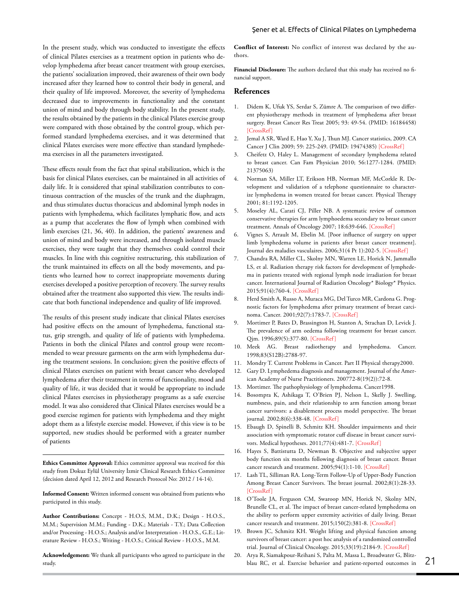In the present study, which was conducted to investigate the effects of clinical Pilates exercises as a treatment option in patients who develop lymphedema after breast cancer treatment with group exercises, the patients' socialization improved, their awareness of their own body increased after they learned how to control their body in general, and their quality of life improved. Moreover, the severity of lymphedema decreased due to improvements in functionality and the constant union of mind and body through body stability. In the present study, the results obtained by the patients in the clinical Pilates exercise group were compared with those obtained by the control group, which performed standard lymphedema exercises, and it was determined that clinical Pilates exercises were more effective than standard lymphedema exercises in all the parameters investigated.

These effects result from the fact that spinal stabilization, which is the basis for clinical Pilates exercises, can be maintained in all activities of daily life. It is considered that spinal stabilization contributes to continuous contraction of the muscles of the trunk and the diaphragm, and thus stimulates ductus thoracicus and abdominal lymph nodes in patients with lymphedema, which facilitates lymphatic flow, and acts as a pump that accelerates the flow of lymph when combined with limb exercises (21, 36, 40). In addition, the patients' awareness and union of mind and body were increased, and through isolated muscle exercises, they were taught that they themselves could control their muscles. In line with this cognitive restructuring, this stabilization of the trunk maintained its effects on all the body movements, and patients who learned how to correct inappropriate movements during exercises developed a positive perception of recovery. The survey results obtained after the treatment also supported this view. The results indicate that both functional independence and quality of life improved.

The results of this present study indicate that clinical Pilates exercises had positive effects on the amount of lymphedema, functional status, grip strength, and quality of life of patients with lymphedema. Patients in both the clinical Pilates and control group were recommended to wear pressure garments on the arm with lymphedema during the treatment sessions. In conclusion; given the positive effects of clinical Pilates exercises on patient with breast cancer who developed lymphedema after their treatment in terms of functionality, mood and quality of life, it was decided that it would be appropriate to include clinical Pilates exercises in physiotherapy programs as a safe exercise model. It was also considered that Clinical Pilates exercises would be a good exercise regimen for patients with lymphedema and they might adopt them as a lifestyle exercise model. However, if this view is to be supported, new studies should be performed with a greater number of patients

**Ethics Committee Approval:** Ethics committee approval was received for this study from Dokuz Eylül University İzmir Clinical Research Ethics Committee (decision dated April 12, 2012 and Research Protocol No: 2012 / 14-14).

**Informed Consent:** Written informed consent was obtained from patients who participated in this study.

**Author Contributions:** Concept - H.O.S, M.M., D.K.; Design - H.O.S., M.M.; Supervision M.M.; Funding - D.K.; Materials - T.Y.; Data Collection and/or Processing - H.O.S.; Analysis and/or Interpretation - H.O.S., G.E.; Literature Review - H.O.S.; Writing - H.O.S.; Critical Review - H.O.S., M.M.

**Acknowledgement:** We thank all participants who agreed to participate in the study.

**Conflict of Interest:** No conflict of interest was declared by the authors.

**Financial Disclosure:** The authors declared that this study has received no financial support.

## **References**

- 1. Didem K, Ufuk YS, Serdar S, Zümre A. The comparison of two different physiotherapy methods in treatment of lymphedema after breast surgery. Breast Cancer Res Treat 2005; 93: 49-54. (PMID: 16184458) [CrossRef]
- 2. Jemal A SR, Ward E, Hao Y, Xu J, Thun MJ. Cancer statistics, 2009. CA Cancer J Clin 2009; 59: 225-249. (PMID: 19474385) [CrossRef]
- 3. Cheifetz O, Haley L. Management of secondary lymphedema related to breast cancer. Can Fam Physician 2010; 56:1277-1284. (PMID: 21375063)
- 4. Norman SA, Miller LT, Erikson HB, Norman MF, McCorkle R. Development and validation of a telephone questionnaire to characterize lymphedema in women treated for breast cancer. Physical Therapy 2001; 81:1192-1205.
- 5. Moseley AL, Carati CJ, Piller NB. A systematic review of common conservative therapies for arm lymphoedema secondary to breast cancer treatment. Annals of Oncology 2007; 18:639-646. [[CrossRef](https://doi.org/10.1093/annonc/mdl182) ]
- 6. Vignes S, Arrault M, Ebelin M. [Poor influence of surgery on upper limb lymphedema volume in patients after breast cancer treatment]. Journal des maladies vasculaires. 2006;31(4 Pt 1):202-5. [CrossRef]
- 7. Chandra RA, Miller CL, Skolny MN, Warren LE, Horick N, Jammallo LS, et al. Radiation therapy risk factors for development of lymphedema in patients treated with regional lymph node irradiation for breast cancer. International Journal of Radiation Oncology\* Biology\* Physics. 2015;91(4):760-4. [\[CrossRef \]](https://doi.org/10.1016/j.ijrobp.2014.12.029)
- 8. Herd Smith A, Russo A, Muraca MG, Del Turco MR, Cardona G. Prognostic factors for lymphedema after primary treatment of breast carcinoma. Cancer. 2001;92(7):1783-7. [[CrossRef](https://doi.org/10.1002/1097-0142(20011001)92:7<1783::AID-CNCR1694>3.0.CO;2-G) ]
- 9. Mortimer P, Bates D, Brassington H, Stanton A, Strachan D, Levick J. The prevalence of arm oedema following treatment for breast cancer. Qjm. 1996;89(5):377-80. [[CrossRef \]](https://doi.org/10.1093/qjmed/89.5.377)
- 10. Meek AG. Breast radiotherapy and lymphedema. Cancer. 1998;83(S12B):2788-97.
- 11. Mondry T. Current Problems in Cancer. Part II Physical therapy2000.
- 12. Gary D. Lymphedema diagnosis and management. Journal of the American Academy of Nurse Practitioners. 200772-8(19(2)):72-8.
- 13. Mortimer. The pathophysiology of lymphedema. Cancer1998.
- 14. Bosompra K, Ashikaga T, O'Brien PJ, Nelson L, Skelly J. Swelling, numbness, pain, and their relationship to arm function among breast cancer survivors: a disablement process model perspective. The breast journal. 2002;8(6):338-48. [\[CrossRef \]](https://doi.org/10.1046/j.1524-4741.2002.08603.x)
- 15. Ebaugh D, Spinelli B, Schmitz KH. Shoulder impairments and their association with symptomatic rotator cuff disease in breast cancer survivors. Medical hypotheses. 2011;77(4):481-7. [CrossRef]
- 16. Hayes S, Battistutta D, Newman B. Objective and subjective upper body function six months following diagnosis of breast cancer. Breast cancer research and treatment. 2005;94(1):1-10. [[CrossRef](https://doi.org/10.1007/s10549-005-5991-z)]
- 17. Lash TL, Silliman RA. Long‐Term Follow‐Up of Upper‐Body Function Among Breast Cancer Survivors. The breast journal. 2002;8(1):28-33. [CrossRef]
- 18. O'Toole JA, Ferguson CM, Swaroop MN, Horick N, Skolny MN, Brunelle CL, et al. The impact of breast cancer-related lymphedema on the ability to perform upper extremity activities of daily living. Breast cancer research and treatment. 2015;150(2):381-8. [[CrossRef](https://doi.org/10.1007/s10549-015-3325-3)]
- 19. Brown JC, Schmitz KH. Weight lifting and physical function among survivors of breast cancer: a post hoc analysis of a randomized controlled trial. Journal of Clinical Oncology. 2015;33(19):2184-9. [[CrossRef](https://doi.org/10.1200/JCO.2014.57.7395)]
- 20. Arya R, Siamakpour-Reihani S, Palta M, Massa L, Broadwater G, Blitzblau RC, et al. Exercise behavior and patient-reported outcomes in 21